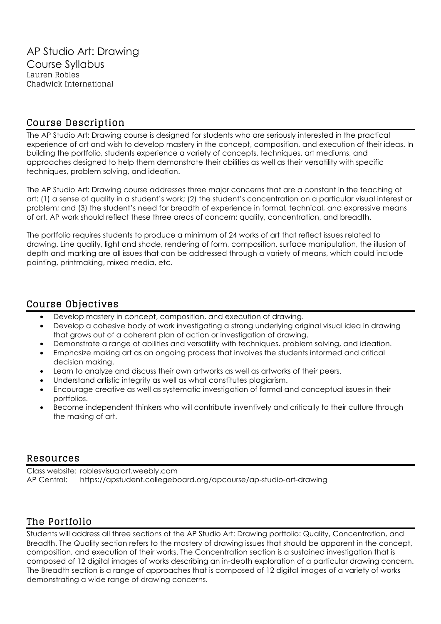## Course Description

The AP Studio Art: Drawing course is designed for students who are seriously interested in the practical experience of art and wish to develop mastery in the concept, composition, and execution of their ideas. In building the portfolio, students experience a variety of concepts, techniques, art mediums, and approaches designed to help them demonstrate their abilities as well as their versatility with specific techniques, problem solving, and ideation.

The AP Studio Art: Drawing course addresses three major concerns that are a constant in the teaching of art: (1) a sense of quality in a student's work; (2) the student's concentration on a particular visual interest or problem; and (3) the student's need for breadth of experience in formal, technical, and expressive means of art. AP work should reflect these three areas of concern: quality, concentration, and breadth.

The portfolio requires students to produce a minimum of 24 works of art that reflect issues related to drawing. Line quality, light and shade, rendering of form, composition, surface manipulation, the illusion of depth and marking are all issues that can be addressed through a variety of means, which could include painting, printmaking, mixed media, etc.

## Course Objectives

- Develop mastery in concept, composition, and execution of drawing.
- Develop a cohesive body of work investigating a strong underlying original visual idea in drawing that grows out of a coherent plan of action or investigation of drawing.
- Demonstrate a range of abilities and versatility with techniques, problem solving, and ideation.
- Emphasize making art as an ongoing process that involves the students informed and critical decision making.
- Learn to analyze and discuss their own artworks as well as artworks of their peers.
- Understand artistic integrity as well as what constitutes plagiarism.
- Encourage creative as well as systematic investigation of formal and conceptual issues in their portfolios.
- Become independent thinkers who will contribute inventively and critically to their culture through the making of art.

## Resources

Class website: roblesvisualart.weebly.com AP Central: https://apstudent.collegeboard.org/apcourse/ap-studio-art-drawing

# The Portfolio

Students will address all three sections of the AP Studio Art: Drawing portfolio: Quality, Concentration, and Breadth. The Quality section refers to the mastery of drawing issues that should be apparent in the concept, composition, and execution of their works. The Concentration section is a sustained investigation that is composed of 12 digital images of works describing an in-depth exploration of a particular drawing concern. The Breadth section is a range of approaches that is composed of 12 digital images of a variety of works demonstrating a wide range of drawing concerns.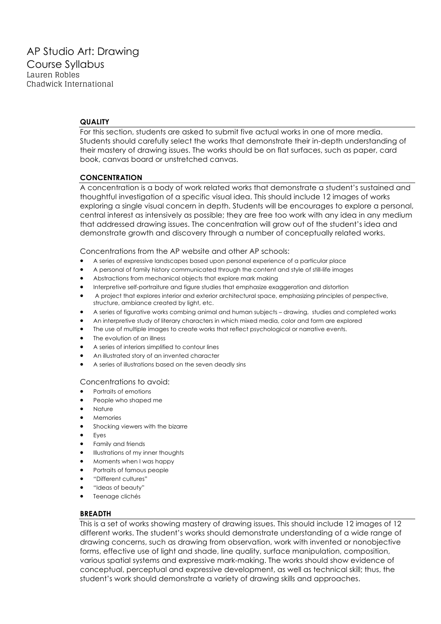#### **QUALITY**

For this section, students are asked to submit five actual works in one of more media. Students should carefully select the works that demonstrate their in-depth understanding of their mastery of drawing issues. The works should be on flat surfaces, such as paper, card book, canvas board or unstretched canvas.

### **CONCENTRATION**

A concentration is a body of work related works that demonstrate a student's sustained and thoughtful investigation of a specific visual idea. This should include 12 images of works exploring a single visual concern in depth. Students will be encourages to explore a personal, central interest as intensively as possible; they are free too work with any idea in any medium that addressed drawing issues. The concentration will grow out of the student's idea and demonstrate growth and discovery through a number of conceptually related works.

Concentrations from the AP website and other AP schools:

- A series of expressive landscapes based upon personal experience of a particular place
- A personal of family history communicated through the content and style of still-life images
- Abstractions from mechanical objects that explore mark making
- Interpretive self-portraiture and figure studies that emphasize exaggeration and distortion
- A project that explores interior and exterior architectural space, emphasizing principles of perspective, structure, ambiance created by light, etc.
- A series of figurative works combing animal and human subjects drawing, studies and completed works
- An interpretive study of literary characters in which mixed media, color and form are explored
- The use of multiple images to create works that reflect psychological or narrative events.
- The evolution of an illness
- A series of interiors simplified to contour lines
- An illustrated story of an invented character
- A series of illustrations based on the seven deadly sins

#### Concentrations to avoid:

- Portraits of emotions
- People who shaped me
- Nature
- Memories
- Shocking viewers with the bizarre
- **Eyes**
- Family and friends
- Illustrations of my inner thoughts
- Moments when I was happy
- Portraits of famous people
- "Different cultures"
- "Ideas of beauty"
- Teenage clichés

#### **BREADTH**

This is a set of works showing mastery of drawing issues. This should include 12 images of 12 different works. The student's works should demonstrate understanding of a wide range of drawing concerns, such as drawing from observation, work with invented or nonobjective forms, effective use of light and shade, line quality, surface manipulation, composition, various spatial systems and expressive mark-making. The works should show evidence of conceptual, perceptual and expressive development, as well as technical skill; thus, the student's work should demonstrate a variety of drawing skills and approaches.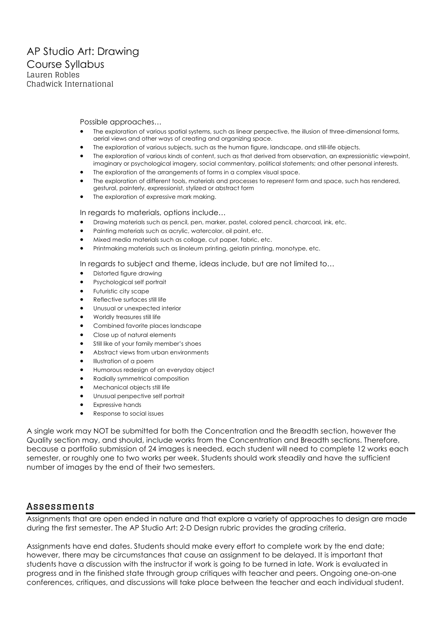Possible approaches…

- The exploration of various spatial systems, such as linear perspective, the illusion of three-dimensional forms, aerial views and other ways of creating and organizing space.
- The exploration of various subjects, such as the human figure, landscape, and still-life objects.
- The exploration of various kinds of content, such as that derived from observation, an expressionistic viewpoint, imaginary or psychological imagery, social commentary, political statements; and other personal interests.
- The exploration of the arrangements of forms in a complex visual space.
- The exploration of different tools, materials and processes to represent form and space, such has rendered, gestural, painterly, expressionist, stylized or abstract form
- The exploration of expressive mark making.

In regards to materials, options include…

- Drawing materials such as pencil, pen, marker, pastel, colored pencil, charcoal, ink, etc.
- Painting materials such as acrylic, watercolor, oil paint, etc.
- Mixed media materials such as collage, cut paper, fabric, etc.
- Printmaking materials such as linoleum printing, gelatin printing, monotype, etc.

In regards to subject and theme, ideas include, but are not limited to…

- Distorted figure drawing
- Psychological self portrait
- Futuristic city scape
- Reflective surfaces still life
- Unusual or unexpected interior
- Worldly treasures still life
- Combined favorite places landscape
- Close up of natural elements
- Still like of your family member's shoes
- Abstract views from urban environments
- Illustration of a poem
- Humorous redesign of an everyday object
- Radially symmetrical composition
- Mechanical objects still life
- Unusual perspective self portrait
- **Expressive hands**
- Response to social issues

A single work may NOT be submitted for both the Concentration and the Breadth section, however the Quality section may, and should, include works from the Concentration and Breadth sections. Therefore, because a portfolio submission of 24 images is needed, each student will need to complete 12 works each semester, or roughly one to two works per week. Students should work steadily and have the sufficient number of images by the end of their two semesters.

## Assessments

Assignments that are open ended in nature and that explore a variety of approaches to design are made during the first semester. The AP Studio Art: 2-D Design rubric provides the grading criteria.

Assignments have end dates. Students should make every effort to complete work by the end date; however, there may be circumstances that cause an assignment to be delayed. It is important that students have a discussion with the instructor if work is going to be turned in late. Work is evaluated in progress and in the finished state through group critiques with teacher and peers. Ongoing one-on-one conferences, critiques, and discussions will take place between the teacher and each individual student.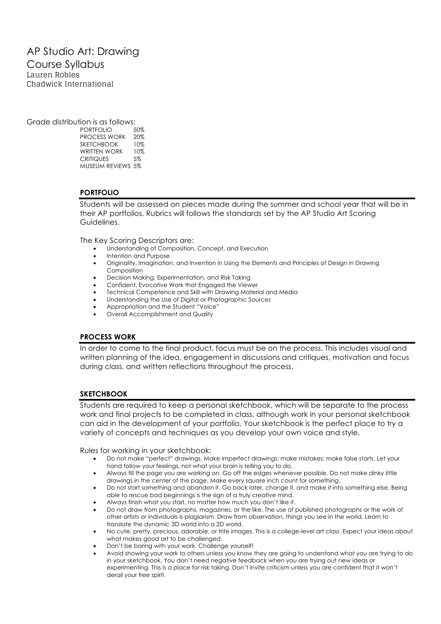## AP Studio Art: Drawing Course Syllabus Lauren Robles Chadwick International

Grade distribution is as follows:

PORTFOLIO 50% PROCESS WORK 20% SKETCHBOOK 10% WRITTEN WORK 10% CRITIQUES 5% MUSEUM REVIEWS 5%

### **PORTFOLIO**

Students will be assessed on pieces made during the summer and school year that will be in their AP portfolios. Rubrics will follows the standards set by the AP Studio Art Scoring Guidelines.

The Key Scoring Descriptors are:

- Understanding of Composition, Concept, and Execution
- Intention and Purpose
- Originality, Imagination, and Invention in Using the Elements and Principles of Design in Drawing Composition
- Decision Making, Experimentation, and Risk Taking
- Confident, Evocative Work that Engaged the Viewer
- Technical Competence and Skill with Drawing Material and Media
- Understanding the Use of Digital or Photographic Sources
- Appropriation and the Student "Voice"
- Overall Accomplishment and Quality

### **PROCESS WORK**

In order to come to the final product, focus must be on the process. This includes visual and written planning of the idea, engagement in discussions and critiques, motivation and focus during class, and written reflections throughout the process.

### **SKETCHBOOK**

Students are required to keep a personal sketchbook, which will be separate to the process work and final projects to be completed in class, although work in your personal sketchbook can aid in the development of your portfolio. Your sketchbook is the perfect place to try a variety of concepts and techniques as you develop your own voice and style.

Rules for working in your sketchbook:

- Do not make "perfect" drawings. Make imperfect drawings; make mistakes; make false starts. Let your hand follow your feelings, not what your brain is telling you to do.
- Always fill the page you are working on. Go off the edges whenever possible. Do not make dinky little drawings in the center of the page. Make every square inch count for something.
- Do not start something and abandon it. Go back later, change it, and make it into something else. Being able to rescue bad beginnings is the sign of a truly creative mind.
- Always finish what you start, no matter how much you don't like it.
- Do not draw from photographs, magazines, or the like. The use of published photographs or the work of other artists or individuals is plagiarism. Draw from observation, things you see in the world. Learn to translate the dynamic 3D world into a 2D world.
- No cute, pretty, precious, adorable, or trite images. This is a college-level art class. Expect your ideas about what makes good art to be challenged.
- Don't be boring with your work. Challenge yourself!
- Avoid showing your work to others unless you know they are going to understand what you are trying to do in your sketchbook. You don't need negative feedback when you are trying out new ideas or experimenting. This is a place for risk taking. Don't invite criticism unless you are confident that it won't derail your free spirit.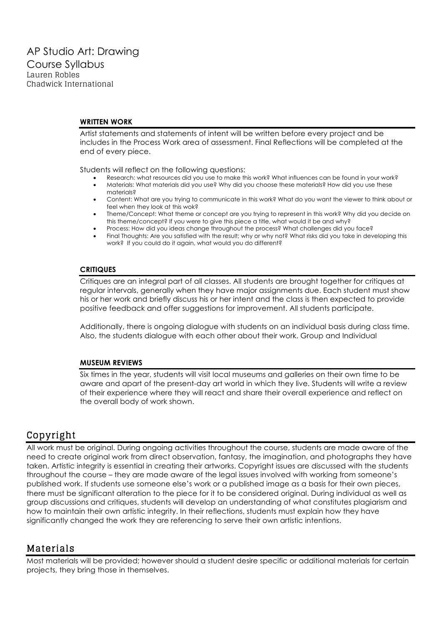### **WRITTEN WORK**

Artist statements and statements of intent will be written before every project and be includes in the Process Work area of assessment. Final Reflections will be completed at the end of every piece.

Students will reflect on the following questions:

- Research: what resources did you use to make this work? What influences can be found in your work?
- Materials: What materials did you use? Why did you choose these materials? How did you use these materials?
- Content: What are you trying to communicate in this work? What do you want the viewer to think about or feel when they look at this wok?
- Theme/Concept: What theme or concept are you trying to represent in this work? Why did you decide on this theme/concept? If you were to give this piece a title, what would it be and why?
- Process: How did you ideas change throughout the process? What challenges did you face?
- Final Thoughts: Are you satisfied with the result; why or why not? What risks did you take in developing this work? If you could do it again, what would you do different?

#### **CRITIQUES**

Critiques are an integral part of all classes. All students are brought together for critiques at regular intervals, generally when they have major assignments due. Each student must show his or her work and briefly discuss his or her intent and the class is then expected to provide positive feedback and offer suggestions for improvement. All students participate.

Additionally, there is ongoing dialogue with students on an individual basis during class time. Also, the students dialogue with each other about their work. Group and Individual

### **MUSEUM REVIEWS**

Six times in the year, students will visit local museums and galleries on their own time to be aware and apart of the present-day art world in which they live. Students will write a review of their experience where they will react and share their overall experience and reflect on the overall body of work shown.

## Copyright

All work must be original. During ongoing activities throughout the course, students are made aware of the need to create original work from direct observation, fantasy, the imagination, and photographs they have taken. Artistic integrity is essential in creating their artworks. Copyright issues are discussed with the students throughout the course – they are made aware of the legal issues involved with working from someone's published work. If students use someone else's work or a published image as a basis for their own pieces, there must be significant alteration to the piece for it to be considered original. During individual as well as group discussions and critiques, students will develop an understanding of what constitutes plagiarism and how to maintain their own artistic integrity. In their reflections, students must explain how they have significantly changed the work they are referencing to serve their own artistic intentions.

## Materials

Most materials will be provided; however should a student desire specific or additional materials for certain projects, they bring those in themselves.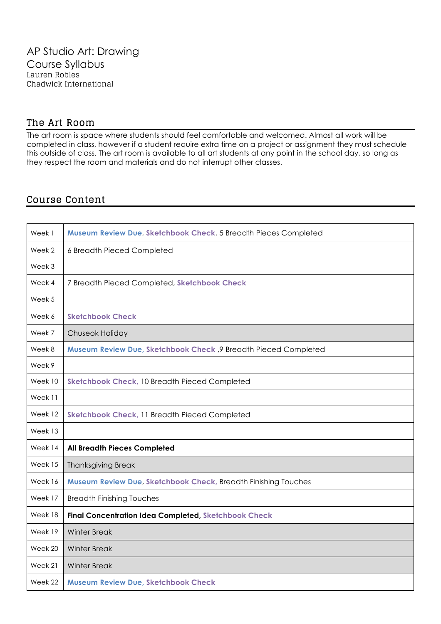## The Art Room

The art room is space where students should feel comfortable and welcomed. Almost all work will be completed in class, however if a student require extra time on a project or assignment they must schedule this outside of class. The art room is available to all art students at any point in the school day, so long as they respect the room and materials and do not interrupt other classes.

## Course Content

| Week 1  | Museum Review Due, Sketchbook Check, 5 Breadth Pieces Completed |
|---------|-----------------------------------------------------------------|
| Week 2  | 6 Breadth Pieced Completed                                      |
| Week 3  |                                                                 |
| Week 4  | 7 Breadth Pieced Completed, Sketchbook Check                    |
| Week 5  |                                                                 |
| Week 6  | <b>Sketchbook Check</b>                                         |
| Week 7  | Chuseok Holiday                                                 |
| Week 8  | Museum Review Due, Sketchbook Check, 9 Breadth Pieced Completed |
| Week 9  |                                                                 |
| Week 10 | Sketchbook Check, 10 Breadth Pieced Completed                   |
| Week 11 |                                                                 |
| Week 12 | Sketchbook Check, 11 Breadth Pieced Completed                   |
| Week 13 |                                                                 |
| Week 14 | <b>All Breadth Pieces Completed</b>                             |
| Week 15 | <b>Thanksgiving Break</b>                                       |
| Week 16 | Museum Review Due, Sketchbook Check, Breadth Finishing Touches  |
| Week 17 | <b>Breadth Finishing Touches</b>                                |
| Week 18 | <b>Final Concentration Idea Completed, Sketchbook Check</b>     |
| Week 19 | <b>Winter Break</b>                                             |
| Week 20 | <b>Winter Break</b>                                             |
| Week 21 | <b>Winter Break</b>                                             |
| Week 22 | <b>Museum Review Due, Sketchbook Check</b>                      |
|         |                                                                 |